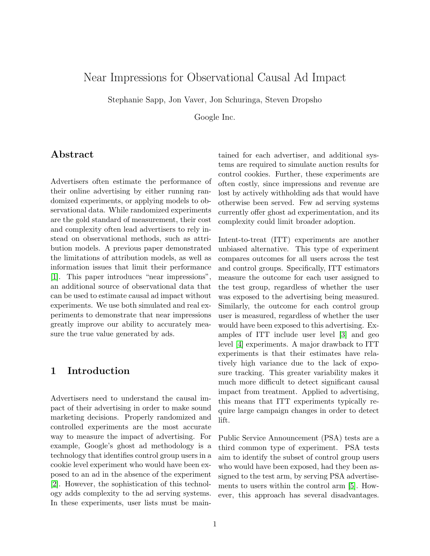# Near Impressions for Observational Causal Ad Impact

Stephanie Sapp, Jon Vaver, Jon Schuringa, Steven Dropsho

Google Inc.

#### Abstract

Advertisers often estimate the performance of their online advertising by either running randomized experiments, or applying models to observational data. While randomized experiments are the gold standard of measurement, their cost and complexity often lead advertisers to rely instead on observational methods, such as attribution models. A previous paper demonstrated the limitations of attribution models, as well as information issues that limit their performance [\[1\]](#page-11-0). This paper introduces "near impressions", an additional source of observational data that can be used to estimate causal ad impact without experiments. We use both simulated and real experiments to demonstrate that near impressions greatly improve our ability to accurately measure the true value generated by ads.

#### 1 Introduction

Advertisers need to understand the causal impact of their advertising in order to make sound marketing decisions. Properly randomized and controlled experiments are the most accurate way to measure the impact of advertising. For example, Google's ghost ad methodology is a technology that identifies control group users in a cookie level experiment who would have been exposed to an ad in the absence of the experiment [\[2\]](#page-11-1). However, the sophistication of this technology adds complexity to the ad serving systems. In these experiments, user lists must be maintained for each advertiser, and additional systems are required to simulate auction results for control cookies. Further, these experiments are often costly, since impressions and revenue are lost by actively withholding ads that would have otherwise been served. Few ad serving systems currently offer ghost ad experimentation, and its complexity could limit broader adoption.

Intent-to-treat (ITT) experiments are another unbiased alternative. This type of experiment compares outcomes for all users across the test and control groups. Specifically, ITT estimators measure the outcome for each user assigned to the test group, regardless of whether the user was exposed to the advertising being measured. Similarly, the outcome for each control group user is measured, regardless of whether the user would have been exposed to this advertising. Examples of ITT include user level [\[3\]](#page-11-2) and geo level [\[4\]](#page-11-3) experiments. A major drawback to ITT experiments is that their estimates have relatively high variance due to the lack of exposure tracking. This greater variability makes it much more difficult to detect significant causal impact from treatment. Applied to advertising, this means that ITT experiments typically require large campaign changes in order to detect lift.

Public Service Announcement (PSA) tests are a third common type of experiment. PSA tests aim to identify the subset of control group users who would have been exposed, had they been assigned to the test arm, by serving PSA advertisements to users within the control arm [\[5\]](#page-11-4). However, this approach has several disadvantages.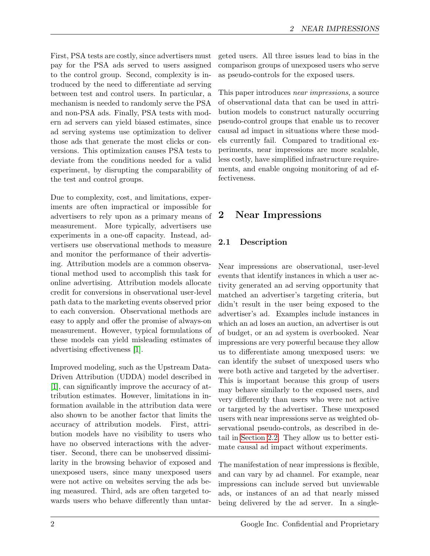First, PSA tests are costly, since advertisers must pay for the PSA ads served to users assigned to the control group. Second, complexity is introduced by the need to differentiate ad serving between test and control users. In particular, a mechanism is needed to randomly serve the PSA and non-PSA ads. Finally, PSA tests with modern ad servers can yield biased estimates, since ad serving systems use optimization to deliver those ads that generate the most clicks or conversions. This optimization causes PSA tests to deviate from the conditions needed for a valid experiment, by disrupting the comparability of the test and control groups.

Due to complexity, cost, and limitations, experiments are often impractical or impossible for advertisers to rely upon as a primary means of measurement. More typically, advertisers use experiments in a one-off capacity. Instead, advertisers use observational methods to measure and monitor the performance of their advertising. Attribution models are a common observational method used to accomplish this task for online advertising. Attribution models allocate credit for conversions in observational user-level path data to the marketing events observed prior to each conversion. Observational methods are easy to apply and offer the promise of always-on measurement. However, typical formulations of these models can yield misleading estimates of advertising effectiveness [\[1\]](#page-11-0).

Improved modeling, such as the Upstream Data-Driven Attribution (UDDA) model described in [\[1\]](#page-11-0), can significantly improve the accuracy of attribution estimates. However, limitations in information available in the attribution data were also shown to be another factor that limits the accuracy of attribution models. First, attribution models have no visibility to users who have no observed interactions with the advertiser. Second, there can be unobserved dissimilarity in the browsing behavior of exposed and unexposed users, since many unexposed users were not active on websites serving the ads being measured. Third, ads are often targeted towards users who behave differently than untar-

geted users. All three issues lead to bias in the comparison groups of unexposed users who serve as pseudo-controls for the exposed users.

This paper introduces near impressions, a source of observational data that can be used in attribution models to construct naturally occurring pseudo-control groups that enable us to recover causal ad impact in situations where these models currently fail. Compared to traditional experiments, near impressions are more scalable, less costly, have simplified infrastructure requirements, and enable ongoing monitoring of ad effectiveness.

# 2 Near Impressions

## <span id="page-1-0"></span>2.1 Description

Near impressions are observational, user-level events that identify instances in which a user activity generated an ad serving opportunity that matched an advertiser's targeting criteria, but didn't result in the user being exposed to the advertiser's ad. Examples include instances in which an ad loses an auction, an advertiser is out of budget, or an ad system is overbooked. Near impressions are very powerful because they allow us to differentiate among unexposed users: we can identify the subset of unexposed users who were both active and targeted by the advertiser. This is important because this group of users may behave similarly to the exposed users, and very differently than users who were not active or targeted by the advertiser. These unexposed users with near impressions serve as weighted observational pseudo-controls, as described in detail in [Section 2.2.](#page-2-0) They allow us to better estimate causal ad impact without experiments.

The manifestation of near impressions is flexible, and can vary by ad channel. For example, near impressions can include served but unviewable ads, or instances of an ad that nearly missed being delivered by the ad server. In a single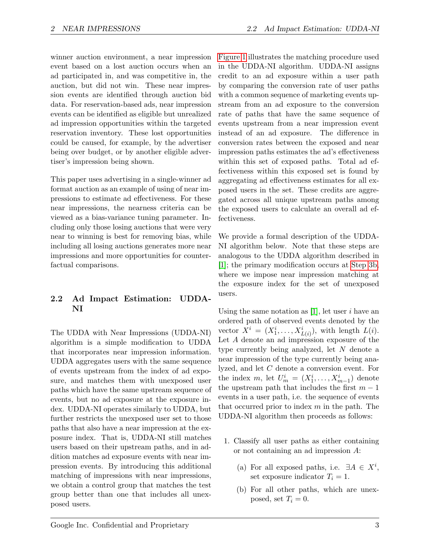winner auction environment, a near impression event based on a lost auction occurs when an ad participated in, and was competitive in, the auction, but did not win. These near impression events are identified through auction bid data. For reservation-based ads, near impression events can be identified as eligible but unrealized ad impression opportunities within the targeted reservation inventory. These lost opportunities could be caused, for example, by the advertiser being over budget, or by another eligible advertiser's impression being shown.

This paper uses advertising in a single-winner ad format auction as an example of using of near impressions to estimate ad effectiveness. For these near impressions, the nearness criteria can be viewed as a bias-variance tuning parameter. Including only those losing auctions that were very near to winning is best for removing bias, while including all losing auctions generates more near impressions and more opportunities for counterfactual comparisons.

## <span id="page-2-0"></span>2.2 Ad Impact Estimation: UDDA-NI

The UDDA with Near Impressions (UDDA-NI) algorithm is a simple modification to UDDA that incorporates near impression information. UDDA aggregates users with the same sequence of events upstream from the index of ad exposure, and matches them with unexposed user paths which have the same upstream sequence of events, but no ad exposure at the exposure index. UDDA-NI operates similarly to UDDA, but further restricts the unexposed user set to those paths that also have a near impression at the exposure index. That is, UDDA-NI still matches users based on their upstream paths, and in addition matches ad exposure events with near impression events. By introducing this additional matching of impressions with near impressions, we obtain a control group that matches the test group better than one that includes all unexposed users.

[Figure 1](#page-3-0) illustrates the matching procedure used in the UDDA-NI algorithm. UDDA-NI assigns credit to an ad exposure within a user path by comparing the conversion rate of user paths with a common sequence of marketing events upstream from an ad exposure to the conversion rate of paths that have the same sequence of events upstream from a near impression event instead of an ad exposure. The difference in conversion rates between the exposed and near impression paths estimates the ad's effectiveness within this set of exposed paths. Total ad effectiveness within this exposed set is found by aggregating ad effectiveness estimates for all exposed users in the set. These credits are aggregated across all unique upstream paths among the exposed users to calculate an overall ad effectiveness.

We provide a formal description of the UDDA-NI algorithm below. Note that these steps are analogous to the UDDA algorithm described in [\[1\]](#page-11-0); the primary modification occurs at [Step 3b,](#page-3-1) where we impose near impression matching at the exposure index for the set of unexposed users.

Using the same notation as  $[1]$ , let user i have an ordered path of observed events denoted by the vector  $X^i = (X_1^i, \ldots, X_{L(i)}^i)$ , with length  $L(i)$ . Let A denote an ad impression exposure of the type currently being analyzed, let N denote a near impression of the type currently being analyzed, and let C denote a conversion event. For the index  $m$ , let  $U_m^i = (X_1^i, \ldots, X_{m-1}^i)$  denote the upstream path that includes the first  $m-1$ events in a user path, i.e. the sequence of events that occurred prior to index  $m$  in the path. The UDDA-NI algorithm then proceeds as follows:

- 1. Classify all user paths as either containing or not containing an ad impression A:
	- (a) For all exposed paths, i.e.  $\exists A \in X^i$ , set exposure indicator  $T_i = 1$ .
	- (b) For all other paths, which are unexposed, set  $T_i = 0$ .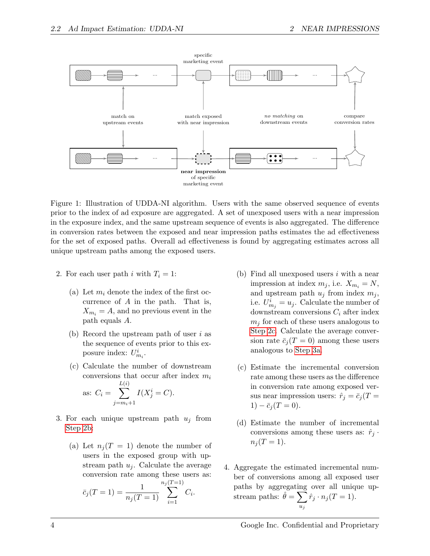

<span id="page-3-0"></span>Figure 1: Illustration of UDDA-NI algorithm. Users with the same observed sequence of events prior to the index of ad exposure are aggregated. A set of unexposed users with a near impression in the exposure index, and the same upstream sequence of events is also aggregated. The difference in conversion rates between the exposed and near impression paths estimates the ad effectiveness for the set of exposed paths. Overall ad effectiveness is found by aggregating estimates across all unique upstream paths among the exposed users.

- <span id="page-3-2"></span>2. For each user path i with  $T_i = 1$ :
	- (a) Let  $m_i$  denote the index of the first occurrence of A in the path. That is,  $X_{m_i} = A$ , and no previous event in the path equals A.
	- (b) Record the upstream path of user i as the sequence of events prior to this exposure index:  $U_{m_i}^i$ .
	- (c) Calculate the number of downstream conversions that occur after index  $m_i$ as:  $C_i = \sum$  $L(i)$  $j=m_i+1$  $I(X_j^i = C).$
- <span id="page-3-4"></span><span id="page-3-3"></span>3. For each unique upstream path  $u_i$  from [Step 2b:](#page-3-2)
	- (a) Let  $n_i(T = 1)$  denote the number of users in the exposed group with upstream path  $u_i$ . Calculate the average conversion rate among these users as:  $n_j(T=1)$

<span id="page-3-1"></span>
$$
\bar{c}_j(T=1) = \frac{1}{n_j(T=1)} \sum_{i=1}^{n_j(T-1)} C_i.
$$

- (b) Find all unexposed users  $i$  with a near impression at index  $m_j$ , i.e.  $X_{m_i} = N$ , and upstream path  $u_i$  from index  $m_i$ , i.e.  $U_{m_j}^i = u_j$ . Calculate the number of downstream conversions  $C_i$  after index  $m_i$  for each of these users analogous to [Step 2c.](#page-3-3) Calculate the average conversion rate  $\bar{c}_j(T=0)$  among these users analogous to [Step 3a.](#page-3-4)
- (c) Estimate the incremental conversion rate among these users as the difference in conversion rate among exposed versus near impression users:  $\hat{r}_j = \bar{c}_j (T =$  $1) - \bar{c}_i (T = 0).$
- (d) Estimate the number of incremental conversions among these users as:  $\hat{r}_j$ .  $n_i (T = 1).$
- 4. Aggregate the estimated incremental number of conversions among all exposed user paths by aggregating over all unique upstream paths:  $\hat{\theta} = \sum$  $u_j$  $\hat{r}_j \cdot n_j(T=1)$ .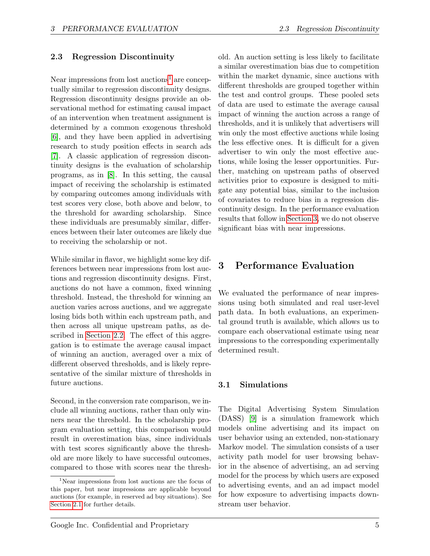#### 2.3 Regression Discontinuity

Near impressions from lost auctions<sup>[1](#page-4-0)</sup> are conceptually similar to regression discontinuity designs. Regression discontinuity designs provide an observational method for estimating causal impact of an intervention when treatment assignment is determined by a common exogenous threshold [\[6\]](#page-11-5), and they have been applied in advertising research to study position effects in search ads [\[7\]](#page-11-6). A classic application of regression discontinuity designs is the evaluation of scholarship programs, as in [\[8\]](#page-11-7). In this setting, the causal impact of receiving the scholarship is estimated by comparing outcomes among individuals with test scores very close, both above and below, to the threshold for awarding scholarship. Since these individuals are presumably similar, differences between their later outcomes are likely due to receiving the scholarship or not.

While similar in flavor, we highlight some key differences between near impressions from lost auctions and regression discontinuity designs. First, auctions do not have a common, fixed winning threshold. Instead, the threshold for winning an auction varies across auctions, and we aggregate losing bids both within each upstream path, and then across all unique upstream paths, as described in [Section 2.2.](#page-2-0) The effect of this aggregation is to estimate the average causal impact of winning an auction, averaged over a mix of different observed thresholds, and is likely representative of the similar mixture of thresholds in future auctions.

Second, in the conversion rate comparison, we include all winning auctions, rather than only winners near the threshold. In the scholarship program evaluation setting, this comparison would result in overestimation bias, since individuals with test scores significantly above the threshold are more likely to have successful outcomes, compared to those with scores near the threshold. An auction setting is less likely to facilitate a similar overestimation bias due to competition within the market dynamic, since auctions with different thresholds are grouped together within the test and control groups. These pooled sets of data are used to estimate the average causal impact of winning the auction across a range of thresholds, and it is unlikely that advertisers will win only the most effective auctions while losing the less effective ones. It is difficult for a given advertiser to win only the most effective auctions, while losing the lesser opportunities. Further, matching on upstream paths of observed activities prior to exposure is designed to mitigate any potential bias, similar to the inclusion of covariates to reduce bias in a regression discontinuity design. In the performance evaluation results that follow in [Section 3,](#page-4-1) we do not observe significant bias with near impressions.

## <span id="page-4-1"></span>3 Performance Evaluation

We evaluated the performance of near impressions using both simulated and real user-level path data. In both evaluations, an experimental ground truth is available, which allows us to compare each observational estimate using near impressions to the corresponding experimentally determined result.

#### 3.1 Simulations

The Digital Advertising System Simulation (DASS) [\[9\]](#page-11-8) is a simulation framework which models online advertising and its impact on user behavior using an extended, non-stationary Markov model. The simulation consists of a user activity path model for user browsing behavior in the absence of advertising, an ad serving model for the process by which users are exposed to advertising events, and an ad impact model for how exposure to advertising impacts downstream user behavior.

<span id="page-4-0"></span><sup>1</sup>Near impressions from lost auctions are the focus of this paper, but near impressions are applicable beyond auctions (for example, in reserved ad buy situations). See [Section 2.1](#page-1-0) for further details.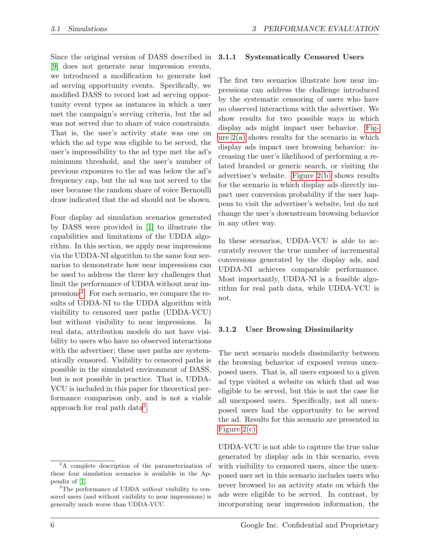Since the original version of DASS described in [\[9\]](#page-11-8) does not generate near impression events, we introduced a modification to generate lost ad serving opportunity events. Specifically, we modified DASS to record lost ad serving opportunity event types as instances in which a user met the campaign's serving criteria, but the ad was not served due to share of voice constraints. That is, the user's activity state was one on which the ad type was eligible to be served, the user's impressibility to the ad type met the ad's minimum threshold, and the user's number of previous exposures to the ad was below the ad's frequency cap, but the ad was not served to the user because the random share of voice Bernoulli draw indicated that the ad should not be shown.

Four display ad simulation scenarios generated by DASS were provided in [\[1\]](#page-11-0) to illustrate the capabilities and limitations of the UDDA algorithm. In this section, we apply near impressions via the UDDA-NI algorithm to the same four scenarios to demonstrate how near impressions can be used to address the three key challenges that limit the performance of UDDA without near im-pressions<sup>[2](#page-5-0)</sup>. For each scenario, we compare the results of UDDA-NI to the UDDA algorithm with visibility to censored user paths (UDDA-VCU) but without visibility to near impressions. In real data, attribution models do not have visibility to users who have no observed interactions with the advertiser; these user paths are systematically censored. Visibility to censored paths is possible in the simulated environment of DASS, but is not possible in practice. That is, UDDA-VCU is included in this paper for theoretical performance comparison only, and is not a viable approach for real path data<sup>[3](#page-5-1)</sup>.

#### 3.1.1 Systematically Censored Users

The first two scenarios illustrate how near impressions can address the challenge introduced by the systematic censoring of users who have no observed interactions with the advertiser. We show results for two possible ways in which display ads might impact user behavior. [Fig](#page-6-0)ure  $2(a)$  shows results for the scenario in which display ads impact user browsing behavior: increasing the user's likelihood of performing a related branded or generic search, or visiting the advertiser's website. [Figure 2\(b\)](#page-6-1) shows results for the scenario in which display ads directly impact user conversion probability if the user happens to visit the advertiser's website, but do not change the user's downstream browsing behavior in any other way.

In these scenarios, UDDA-VCU is able to accurately recover the true number of incremental conversions generated by the display ads, and UDDA-NI achieves comparable performance. Most importantly, UDDA-NI is a feasible algorithm for real path data, while UDDA-VCU is not.

#### 3.1.2 User Browsing Dissimilarity

The next scenario models dissimilarity between the browsing behavior of exposed versus unexposed users. That is, all users exposed to a given ad type visited a website on which that ad was eligible to be served, but this is not the case for all unexposed users. Specifically, not all unexposed users had the opportunity to be served the ad. Results for this scenario are presented in [Figure 2\(c\).](#page-6-2)

UDDA-VCU is not able to capture the true value generated by display ads in this scenario, even with visibility to censored users, since the unexposed user set in this scenario includes users who never browsed to an activity state on which the ads were eligible to be served. In contrast, by incorporating near impression information, the

<span id="page-5-0"></span><sup>&</sup>lt;sup>2</sup>A complete description of the parameterization of these four simulation scenarios is available in the Appendix of [\[1\]](#page-11-0).

<span id="page-5-1"></span><sup>&</sup>lt;sup>3</sup>The performance of UDDA *without* visibility to censored users (and without visibility to near impressions) is generally much worse than UDDA-VCU.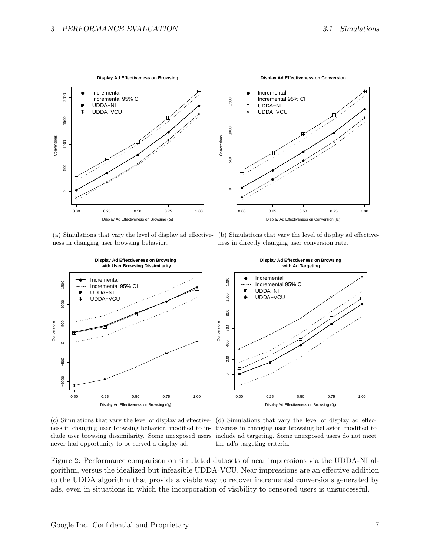<span id="page-6-1"></span>●



ness in changing user browsing behavior.

<span id="page-6-0"></span>



<span id="page-6-2"></span>(c) Simulations that vary the level of display ad effective-(d) Simulations that vary the level of display ad effecnever had opportunity to be served a display ad.

<span id="page-6-3"></span>ness in changing user browsing behavior, modified to in-tiveness in changing user browsing behavior, modified to clude user browsing dissimilarity. Some unexposed users include ad targeting. Some unexposed users do not meet the ad's targeting criteria.

Figure 2: Performance comparison on simulated datasets of near impressions via the UDDA-NI algorithm, versus the idealized but infeasible UDDA-VCU. Near impressions are an effective addition to the UDDA algorithm that provide a viable way to recover incremental conversions generated by ads, even in situations in which the incorporation of visibility to censored users is unsuccessful.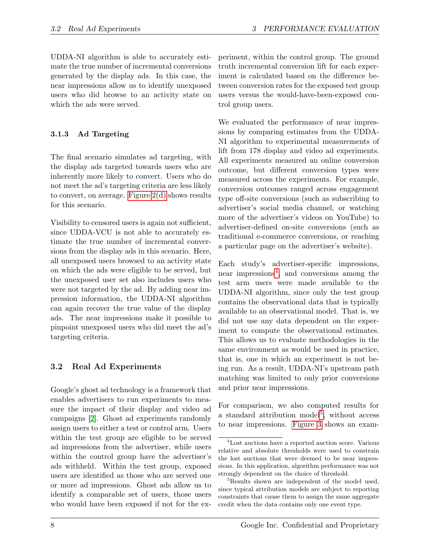UDDA-NI algorithm is able to accurately estimate the true number of incremental conversions generated by the display ads. In this case, the near impressions allow us to identify unexposed users who did browse to an activity state on which the ads were served.

### 3.1.3 Ad Targeting

The final scenario simulates ad targeting, with the display ads targeted towards users who are inherently more likely to convert. Users who do not meet the ad's targeting criteria are less likely to convert, on average. [Figure 2\(d\)](#page-6-3) shows results for this scenario.

Visibility to censored users is again not sufficient, since UDDA-VCU is not able to accurately estimate the true number of incremental conversions from the display ads in this scenario. Here, all unexposed users browsed to an activity state on which the ads were eligible to be served, but the unexposed user set also includes users who were not targeted by the ad. By adding near impression information, the UDDA-NI algorithm can again recover the true value of the display ads. The near impressions make it possible to pinpoint unexposed users who did meet the ad's targeting criteria.

## 3.2 Real Ad Experiments

Google's ghost ad technology is a framework that enables advertisers to run experiments to measure the impact of their display and video ad campaigns [\[2\]](#page-11-1). Ghost ad experiments randomly assign users to either a test or control arm. Users within the test group are eligible to be served ad impressions from the advertiser, while users within the control group have the advertiser's ads withheld. Within the test group, exposed users are identified as those who are served one or more ad impressions. Ghost ads allow us to identify a comparable set of users, those users who would have been exposed if not for the ex-

periment, within the control group. The ground truth incremental conversion lift for each experiment is calculated based on the difference between conversion rates for the exposed test group users versus the would-have-been-exposed control group users.

We evaluated the performance of near impressions by comparing estimates from the UDDA-NI algorithm to experimental measurements of lift from 178 display and video ad experiments. All experiments measured an online conversion outcome, but different conversion types were measured across the experiments. For example, conversion outcomes ranged across engagement type off-site conversions (such as subscribing to advertiser's social media channel, or watching more of the advertiser's videos on YouTube) to advertiser-defined on-site conversions (such as traditional e-commerce conversions, or reaching a particular page on the advertiser's website).

Each study's advertiser-specific impressions, near impressions<sup>[4](#page-7-0)</sup>, and conversions among the test arm users were made available to the UDDA-NI algorithm, since only the test group contains the observational data that is typically available to an observational model. That is, we did not use any data dependent on the experiment to compute the observational estimates. This allows us to evaluate methodologies in the same environment as would be used in practice, that is, one in which an experiment is not being run. As a result, UDDA-NI's upstream path matching was limited to only prior conversions and prior near impressions.

For comparison, we also computed results for a standard attribution model<sup>[5](#page-7-1)</sup>, without access to near impressions. [Figure 3](#page-8-0) shows an exam-

<span id="page-7-0"></span><sup>4</sup>Lost auctions have a reported auction score. Various relative and absolute thresholds were used to constrain the lost auctions that were deemed to be near impressions. In this application, algorithm performance was not strongly dependent on the choice of threshold.

<span id="page-7-1"></span><sup>&</sup>lt;sup>5</sup>Results shown are independent of the model used, since typical attribution models are subject to reporting constraints that cause them to assign the same aggregate credit when the data contains only one event type.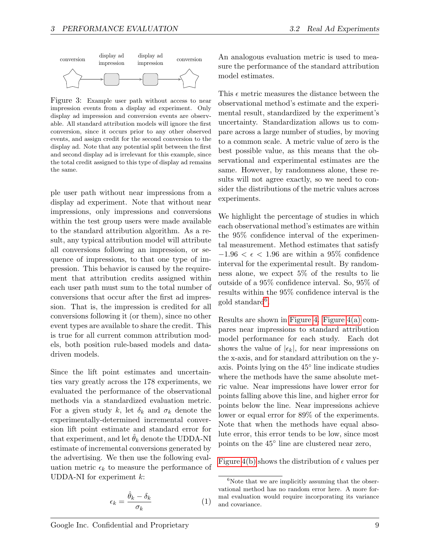

<span id="page-8-0"></span>Figure 3: Example user path without access to near impression events from a display ad experiment. Only display ad impression and conversion events are observable. All standard attribution models will ignore the first conversion, since it occurs prior to any other observed events, and assign credit for the second conversion to the display ad. Note that any potential split between the first and second display ad is irrelevant for this example, since the total credit assigned to this type of display ad remains the same.

ple user path without near impressions from a display ad experiment. Note that without near impressions, only impressions and conversions within the test group users were made available to the standard attribution algorithm. As a result, any typical attribution model will attribute all conversions following an impression, or sequence of impressions, to that one type of impression. This behavior is caused by the requirement that attribution credits assigned within each user path must sum to the total number of conversions that occur after the first ad impression. That is, the impression is credited for all conversions following it (or them), since no other event types are available to share the credit. This is true for all current common attribution models, both position rule-based models and datadriven models.

Since the lift point estimates and uncertainties vary greatly across the 178 experiments, we evaluated the performance of the observational methods via a standardized evaluation metric. For a given study k, let  $\delta_k$  and  $\sigma_k$  denote the experimentally-determined incremental conversion lift point estimate and standard error for that experiment, and let  $\hat{\theta}_k$  denote the UDDA-NI estimate of incremental conversions generated by the advertising. We then use the following evaluation metric  $\epsilon_k$  to measure the performance of UDDA-NI for experiment  $k$ :

<span id="page-8-2"></span>
$$
\epsilon_k = \frac{\hat{\theta}_k - \delta_k}{\sigma_k} \tag{1}
$$

An analogous evaluation metric is used to measure the performance of the standard attribution model estimates.

This  $\epsilon$  metric measures the distance between the observational method's estimate and the experimental result, standardized by the experiment's uncertainty. Standardization allows us to compare across a large number of studies, by moving to a common scale. A metric value of zero is the best possible value, as this means that the observational and experimental estimates are the same. However, by randomness alone, these results will not agree exactly, so we need to consider the distributions of the metric values across experiments.

We highlight the percentage of studies in which each observational method's estimates are within the 95% confidence interval of the experimental measurement. Method estimates that satisfy  $-1.96 < \epsilon < 1.96$  are within a 95% confidence interval for the experimental result. By randomness alone, we expect 5% of the results to lie outside of a 95% confidence interval. So, 95% of results within the 95% confidence interval is the  $\text{gold standard}^6$  $\text{gold standard}^6$ .

Results are shown in [Figure 4.](#page-9-0) [Figure 4\(a\)](#page-9-1) compares near impressions to standard attribution model performance for each study. Each dot shows the value of  $|\epsilon_k|$ , for near impressions on the x-axis, and for standard attribution on the yaxis. Points lying on the 45◦ line indicate studies where the methods have the same absolute metric value. Near impressions have lower error for points falling above this line, and higher error for points below the line. Near impressions achieve lower or equal error for 89% of the experiments. Note that when the methods have equal absolute error, this error tends to be low, since most points on the 45◦ line are clustered near zero,

[Figure 4\(b\)](#page-9-2) shows the distribution of  $\epsilon$  values per

<span id="page-8-1"></span> ${}^{6}$ Note that we are implicitly assuming that the observational method has no random error here. A more formal evaluation would require incorporating its variance and covariance.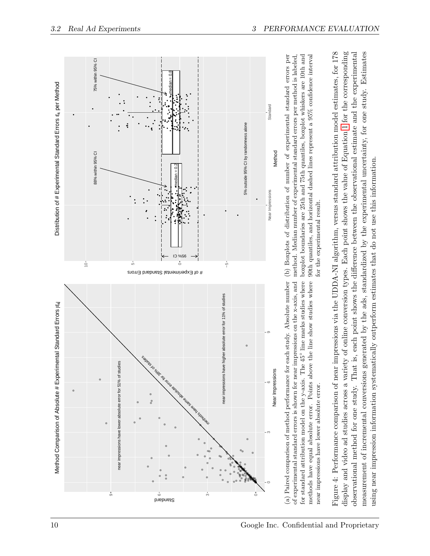

<span id="page-9-2"></span><span id="page-9-1"></span><span id="page-9-0"></span>display and video ad studies across a variety of online conversion types. Each point shows the value of Equation 1 for the corresponding display and video ad studies across a variety of online conversion types. Each point shows the value of Equation [1](#page-8-2) for the corresponding observational method for one study. That is, each point shows the difference between the observational estimate and the experimental measurement of incremental conversions generated by the ads, standardized by the experimental uncertainty, for one study. Estimates observational method for one study. That is, each point shows the difference between the observational estimate and the experimental measurement of incremental conversions generated by the ads, standardized by the experimental uncertainty, for one study. Estimates using near impression information systematically outperform estimates that do not use this information. using near impression information systematically outperform estimates that do not use this information.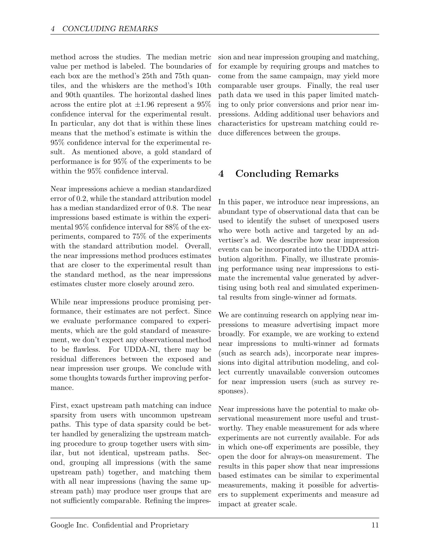method across the studies. The median metric value per method is labeled. The boundaries of each box are the method's 25th and 75th quantiles, and the whiskers are the method's 10th and 90th quantiles. The horizontal dashed lines across the entire plot at  $\pm 1.96$  represent a  $95\%$ confidence interval for the experimental result. In particular, any dot that is within these lines means that the method's estimate is within the 95% confidence interval for the experimental result. As mentioned above, a gold standard of performance is for 95% of the experiments to be within the 95% confidence interval.

Near impressions achieve a median standardized error of 0.2, while the standard attribution model has a median standardized error of 0.8. The near impressions based estimate is within the experimental 95% confidence interval for 88% of the experiments, compared to 75% of the experiments with the standard attribution model. Overall, the near impressions method produces estimates that are closer to the experimental result than the standard method, as the near impressions estimates cluster more closely around zero.

While near impressions produce promising performance, their estimates are not perfect. Since we evaluate performance compared to experiments, which are the gold standard of measurement, we don't expect any observational method to be flawless. For UDDA-NI, there may be residual differences between the exposed and near impression user groups. We conclude with some thoughts towards further improving performance.

First, exact upstream path matching can induce sparsity from users with uncommon upstream paths. This type of data sparsity could be better handled by generalizing the upstream matching procedure to group together users with similar, but not identical, upstream paths. Second, grouping all impressions (with the same upstream path) together, and matching them with all near impressions (having the same upstream path) may produce user groups that are not sufficiently comparable. Refining the impres-

sion and near impression grouping and matching, for example by requiring groups and matches to come from the same campaign, may yield more comparable user groups. Finally, the real user path data we used in this paper limited matching to only prior conversions and prior near impressions. Adding additional user behaviors and characteristics for upstream matching could reduce differences between the groups.

## 4 Concluding Remarks

In this paper, we introduce near impressions, an abundant type of observational data that can be used to identify the subset of unexposed users who were both active and targeted by an advertiser's ad. We describe how near impression events can be incorporated into the UDDA attribution algorithm. Finally, we illustrate promising performance using near impressions to estimate the incremental value generated by advertising using both real and simulated experimental results from single-winner ad formats.

We are continuing research on applying near impressions to measure advertising impact more broadly. For example, we are working to extend near impressions to multi-winner ad formats (such as search ads), incorporate near impressions into digital attribution modeling, and collect currently unavailable conversion outcomes for near impression users (such as survey responses).

Near impressions have the potential to make observational measurement more useful and trustworthy. They enable measurement for ads where experiments are not currently available. For ads in which one-off experiments are possible, they open the door for always-on measurement. The results in this paper show that near impressions based estimates can be similar to experimental measurements, making it possible for advertisers to supplement experiments and measure ad impact at greater scale.